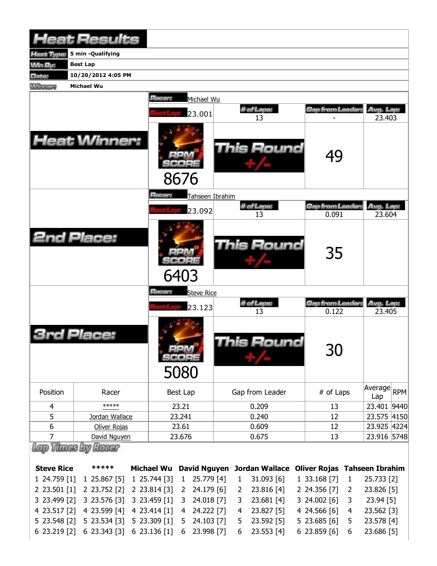|                   | <b>Heat Results</b> |                   |                                  |                                   |   |                   |                                     |        |                                               |  |
|-------------------|---------------------|-------------------|----------------------------------|-----------------------------------|---|-------------------|-------------------------------------|--------|-----------------------------------------------|--|
| Heat Type:        | 5 min -Qualifying   |                   |                                  |                                   |   |                   |                                     |        |                                               |  |
| Win By:           | <b>Best Lap</b>     |                   |                                  |                                   |   |                   |                                     |        |                                               |  |
| Date:             | 10/20/2012 4:05 PM  |                   |                                  |                                   |   |                   |                                     |        |                                               |  |
| <b>Winnipeg</b>   | Michael Wu          |                   |                                  |                                   |   |                   |                                     |        |                                               |  |
|                   |                     | Racer:            |                                  | Michael Wu                        |   |                   |                                     |        |                                               |  |
|                   |                     |                   |                                  |                                   |   | # of Laps:        | Gap from Leader.                    |        | Avg. Lap:                                     |  |
|                   |                     |                   |                                  | 23.001                            |   | 13                |                                     | 23.403 |                                               |  |
|                   | <b>Heat Winner:</b> |                   | 8676                             |                                   |   | This Round        | 49                                  |        |                                               |  |
|                   |                     | Racer:            |                                  | Tahseen Ibrahim                   |   |                   |                                     |        |                                               |  |
|                   |                     |                   |                                  | 23.092                            |   | # of Laps:        | Gap from Leader                     |        | Avg. Lap:                                     |  |
|                   |                     |                   |                                  |                                   |   | 13                | 0.091                               |        | 23.604                                        |  |
|                   | <b>2nd Place:</b>   |                   | 6403                             |                                   |   | <b>This Round</b> | 35                                  |        |                                               |  |
|                   |                     | Hacer:            |                                  | <b>Steve Rice</b>                 |   |                   |                                     |        |                                               |  |
|                   |                     |                   |                                  | 23.123                            |   | # of Laps:<br>13  | Gap from Leader:<br>0.122           |        | Avg. Lap:<br>23.405                           |  |
|                   | Place:              |                   | simili <i>k</i><br>scoee<br>5080 |                                   |   | This Round        | 30                                  |        |                                               |  |
| Position          | Racer               |                   | Best Lap                         |                                   |   | Gap from Leader   | # of Laps                           |        | $\sqrt{\text{Average}}$ <sub>RPM</sub><br>Lap |  |
| 4                 | *****               |                   | 23.21                            |                                   |   | 0.209             | 13                                  |        | 23.401 9440                                   |  |
| 5                 | Jordan Wallace      |                   | 23.241                           |                                   |   | 0.240             | 12                                  |        | 23.575 4150                                   |  |
| 6                 | Oliver Rojas        |                   | 23.61                            |                                   |   | 0.609             | 12                                  |        | 23.925 4224                                   |  |
| 7                 | David Nguyen        |                   | 23.676                           |                                   |   | 0.675             | 13                                  |        | 23.916 5748                                   |  |
|                   | Racer               |                   |                                  |                                   |   |                   |                                     |        |                                               |  |
| <b>Steve Rice</b> | *****               | <b>Michael Wu</b> |                                  |                                   |   | Jordan Wallace    | <b>Oliver Rojas Tahseen Ibrahim</b> |        |                                               |  |
|                   |                     | 1 25.744 [3]      |                                  | <b>David Nguyen</b><br>25.779 [4] |   |                   | 1 33.168 [7]                        |        |                                               |  |
| 1 24.759 [1]      | 1 25.867 [5]        |                   | 1                                |                                   | 1 | 31.093 [6]        |                                     | 1      | 25.733 [2]                                    |  |
| 2 23.501 [1]      | 2 23.752 [2]        | 2 23.814 [3]      | $\mathbf{2}$                     | 24.179 [6]                        | 2 | 23.816 [4]        | 2 24.356 [7]                        | 2      | 23.826 [5]                                    |  |
| 3 23.499 [2]      | 3 23.576 [3]        | 3 23.459 [1]      | 3                                | 24.018 [7]                        | 3 | 23.681 [4]        | 3 24.002 [6]                        | 3      | 23.94 [5]                                     |  |
| 4 23.517 [2]      | 4 23.599 [4]        | 4 23.414 [1]      | 4                                | 24.222 [7]                        | 4 | 23.827 [5]        | 4 24.566 [6]                        | 4      | 23.562 [3]                                    |  |

5 23.548 [2] 5 23.534 [3] 5 23.309 [1] 5 24.103 [7] 5 23.592 [5] 5 23.685 [6] 5 23.578 [4]

23.686 [5]

6 23.219 [2] 6 23.343 [3] 6 23.136 [1] 6 23.998 [7] 6 23.553 [4] 6 23.859 [6]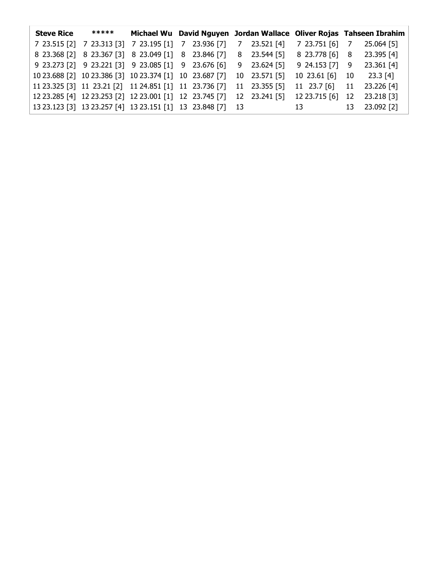| <b>Steve Rice</b> | ***** |                                                            |  |   |                | Michael Wu David Nguyen Jordan Wallace Oliver Rojas Tahseen Ibrahim |      |               |
|-------------------|-------|------------------------------------------------------------|--|---|----------------|---------------------------------------------------------------------|------|---------------|
|                   |       | 7 23.515 [2] 7 23.313 [3] 7 23.195 [1] 7 23.936 [7]        |  | 7 | 23.521 [4]     | 7 23.751 [6]                                                        | 7    | 25.064 [5]    |
|                   |       | 8 23.368 [2] 8 23.367 [3] 8 23.049 [1] 8 23.846 [7]        |  |   |                | 8 23.544 [5] 8 23.778 [6] 8                                         |      | 23.395 [4]    |
|                   |       | 9 23.273 [2] 9 23.221 [3] 9 23.085 [1] 9 23.676 [6]        |  |   | $9$ 23.624 [5] | 9 24.153 [7] 9                                                      |      | 23.361 [4]    |
|                   |       | 10 23.688 [2] 10 23.386 [3] 10 23.374 [1] 10 23.687 [7]    |  |   | 10 23.571 [5]  | $1023.61$ [6]                                                       | - 10 | 23.3 [4]      |
|                   |       | 11 23.325 [3] 11 23.21 [2] 11 24.851 [1] 11 23.736 [7]     |  |   | 11 23.355 [5]  | 11 23.7 [6] 11 23.226 [4]                                           |      |               |
|                   |       | 12 23.285 [4] 12 23.253 [2] 12 23.001 [1] 12 23.745 [7]    |  |   | 12 23.241 [5]  | 12 23.715 [6]                                                       |      | 12 23.218 [3] |
|                   |       | 13 23.123 [3] 13 23.257 [4] 13 23.151 [1] 13 23.848 [7] 13 |  |   | 13             |                                                                     | 13   | 23.092 [2]    |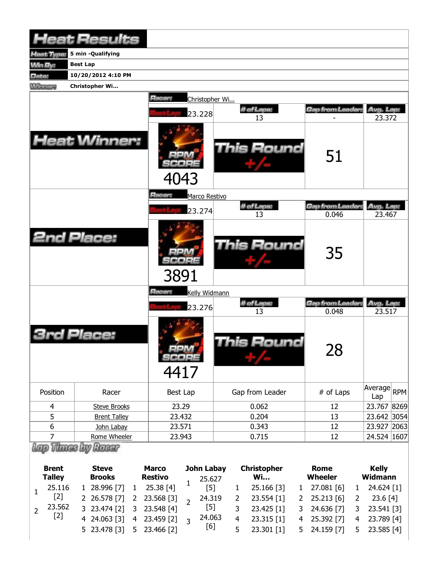|                | <b>Heat Results</b>   |                              |                   |                          |                     |
|----------------|-----------------------|------------------------------|-------------------|--------------------------|---------------------|
| leat Type:     | 5 min -Qualifying     |                              |                   |                          |                     |
| Win By:        | <b>Best Lap</b>       |                              |                   |                          |                     |
| Date:          | 10/20/2012 4:10 PM    |                              |                   |                          |                     |
| <b>Winners</b> | <b>Christopher Wi</b> |                              |                   |                          |                     |
|                |                       | Racer:<br>Christopher Wi     |                   |                          |                     |
|                |                       | 23.228                       | # of Laps:<br>13  | Gap from Leader:         | Avg. Lap:<br>23.372 |
|                | <b>Heat Winner:</b>   | 4043                         | This Round        | 51                       |                     |
|                |                       | Racer:<br>Marco Restivo      |                   |                          |                     |
|                |                       |                              | # of Laps:        | Gap from Leader:         | Avg. Lap:           |
|                |                       | 23.274                       | 13                | 0.046                    | 23.467              |
|                | <b>2nd Place:</b>     | 3891                         | <b>This Round</b> | 35                       |                     |
|                |                       | Racer:<br>Kelly Widmann      |                   |                          |                     |
|                |                       | 23.276                       | # of Laps:<br>13  | Gap from Leader<br>0.048 | Avg. Lap:<br>23.517 |
|                | Place:                | $m/\Lambda$<br>SCORE<br>4417 | <b>This Round</b> | 28                       |                     |
| Position       | Racer                 | Best Lap                     | Gap from Leader   | # of Laps                | Average RPM<br>Lap  |
| $\overline{4}$ | <b>Steve Brooks</b>   | 23.29                        | 0.062             | 12                       | 23.767 8269         |
| 5              | <b>Brent Talley</b>   | 23.432                       | 0.204             | 13                       | 23.642 3054         |
| 6              | John Labay            | 23.571                       | 0.343             | 12                       | 23.927 2063         |
| $\overline{7}$ | Rome Wheeler          | 23.943                       | 0.715             | 12                       | 24.524 1607         |
|                | Thues by Ruser        |                              |                   |                          |                     |

| <b>Brent</b><br><b>Talley</b> |        |  | <b>Steve</b><br><b>Brooks</b> |  | <b>Marco</b><br>Restivo                 |  | John Labay<br>25.627 |    | <b>Christopher</b><br>Wi | Rome<br>Wheeler           | Kelly<br>Widmann |                         |  |
|-------------------------------|--------|--|-------------------------------|--|-----------------------------------------|--|----------------------|----|--------------------------|---------------------------|------------------|-------------------------|--|
|                               | 25.116 |  | 1 28.996 [7]                  |  | 25.38 [4]                               |  | [5]                  |    | 25.166 [3]               | $1$ 27.081 [6]            |                  | $1 \quad 24.624 \; [1]$ |  |
|                               | $[2]$  |  |                               |  | 2 26.578 [7] 2 23.568 [3] $\rightarrow$ |  | 24.319               |    | $2$ 23.554 [1]           | $2\quad 25.213\ [6]$      |                  | $2 \quad 23.6 \, [4]$   |  |
|                               | 23.562 |  | 3 23.474 [2] 3 23.548 [4]     |  |                                         |  | [5]                  |    | $3$ 23.425 [1]           | 3 24.636 [7] 3 23.541 [3] |                  |                         |  |
|                               | [2]    |  |                               |  | 4 24.063 [3] 4 23.459 [2] $\frac{1}{3}$ |  | 24.063               | 4  | 23.315 [1]               | 4 25.392 [7]              |                  | 4 23.789 [4]            |  |
|                               |        |  | 5 23.478 [3] 5 23.466 [2]     |  |                                         |  | [6]                  | 5. | $23.301$ [1]             | 5 24.159 [7]              |                  | $5$ 23.585 [4]          |  |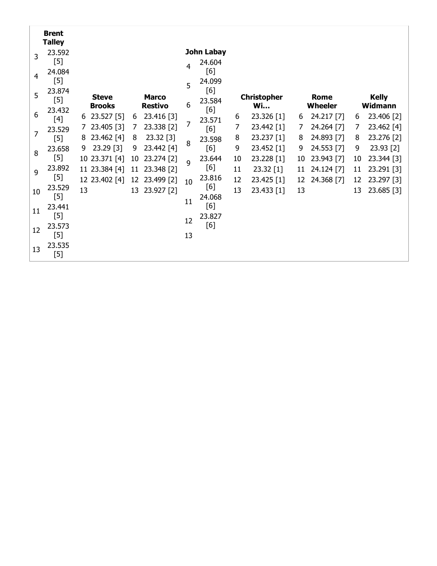| <b>John Labay</b><br>23.592<br>3<br>$[5]$<br>24.604<br>4<br>[6]<br>24.084<br>4<br>$[5]$<br>24.099<br>5<br>[6]<br>23.874<br>5<br><b>Christopher</b><br><b>Steve</b><br><b>Marco</b><br><b>Rome</b><br>$[5]$<br>23.584<br>6<br><b>Restivo</b><br><b>Wi</b><br><b>Wheeler</b><br><b>Brooks</b><br>[6]<br>23.432<br>6<br>23.527 [5]<br>23.416 [3]<br>23.326 [1]<br>24.217 [7]<br>6<br>6<br>6<br>6<br>[4]<br>23.571<br>7<br>23.338 [2]<br>7 23.405 [3]<br>23.442 [1]<br>24.264 [7]<br>7<br>7<br>7<br>[6]<br>23.529<br>7 |                         |  |  |
|--------------------------------------------------------------------------------------------------------------------------------------------------------------------------------------------------------------------------------------------------------------------------------------------------------------------------------------------------------------------------------------------------------------------------------------------------------------------------------------------------------------------|-------------------------|--|--|
|                                                                                                                                                                                                                                                                                                                                                                                                                                                                                                                    |                         |  |  |
|                                                                                                                                                                                                                                                                                                                                                                                                                                                                                                                    |                         |  |  |
|                                                                                                                                                                                                                                                                                                                                                                                                                                                                                                                    |                         |  |  |
|                                                                                                                                                                                                                                                                                                                                                                                                                                                                                                                    |                         |  |  |
|                                                                                                                                                                                                                                                                                                                                                                                                                                                                                                                    |                         |  |  |
|                                                                                                                                                                                                                                                                                                                                                                                                                                                                                                                    | <b>Kelly</b><br>Widmann |  |  |
|                                                                                                                                                                                                                                                                                                                                                                                                                                                                                                                    | 23.406 [2]<br>6         |  |  |
|                                                                                                                                                                                                                                                                                                                                                                                                                                                                                                                    | 23.462 [4]<br>7         |  |  |
| 23.462 [4]<br>23.32 [3]<br>23.237 [1]<br>24.893 [7]<br>8<br>8<br>8<br>8<br>$[5]$<br>23.598                                                                                                                                                                                                                                                                                                                                                                                                                         | 23.276 [2]<br>8         |  |  |
| 8<br>[6]<br>23.29 [3]<br>23.442 [4]<br>23.452 [1]<br>24.553 [7]<br>9<br>9<br>9<br>23.658<br>9                                                                                                                                                                                                                                                                                                                                                                                                                      | 23.93 [2]<br>9          |  |  |
| 8<br>$[5]$<br>23.228 [1]<br>10 23.371 [4]<br>23.274 [2]<br>23.644<br>10<br>23.943 [7]<br>10<br>10                                                                                                                                                                                                                                                                                                                                                                                                                  | 23.344 [3]<br>10        |  |  |
| $\overline{q}$<br>[6]<br>23.892                                                                                                                                                                                                                                                                                                                                                                                                                                                                                    |                         |  |  |
| 11 23.384 [4]<br>23.348 [2]<br>23.32 [1]<br>11<br>11<br>24.124 [7]<br>11<br>9<br>$[5]$<br>23.816                                                                                                                                                                                                                                                                                                                                                                                                                   | 23.291 [3]<br>11        |  |  |
| 12 23.402 [4]<br>12<br>23.425 [1]<br>12<br>23.499 [2]<br>12<br>24.368 [7]<br>10<br>[6]<br>23.529                                                                                                                                                                                                                                                                                                                                                                                                                   | 23.297 [3]<br>12        |  |  |
| 13<br>13<br>23.927 [2]<br>13<br>23.433 [1]<br>13<br>10<br>$[5]$<br>24.068                                                                                                                                                                                                                                                                                                                                                                                                                                          | 23.685 [3]<br>13        |  |  |
| 11<br>[6]<br>23.441                                                                                                                                                                                                                                                                                                                                                                                                                                                                                                |                         |  |  |
| 11<br>$[5]$<br>23.827                                                                                                                                                                                                                                                                                                                                                                                                                                                                                              |                         |  |  |
| 12<br>[6]<br>23.573                                                                                                                                                                                                                                                                                                                                                                                                                                                                                                |                         |  |  |
| 12<br>$[5]$<br>13                                                                                                                                                                                                                                                                                                                                                                                                                                                                                                  |                         |  |  |
| 23.535<br>13<br>$[5]$                                                                                                                                                                                                                                                                                                                                                                                                                                                                                              |                         |  |  |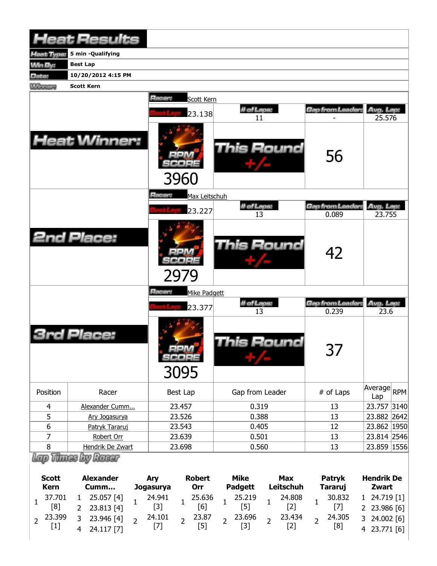|                | <b>Heat Results</b> |                             |                   |                  |                    |  |
|----------------|---------------------|-----------------------------|-------------------|------------------|--------------------|--|
| Heat Type:     | 5 min -Qualifying   |                             |                   |                  |                    |  |
| <b>Min By:</b> | <b>Best Lap</b>     |                             |                   |                  |                    |  |
| Date:          | 10/20/2012 4:15 PM  |                             |                   |                  |                    |  |
| <b>Winners</b> | <b>Scott Kern</b>   |                             |                   |                  |                    |  |
|                |                     | Racer:<br>Scott Kern        |                   |                  |                    |  |
|                |                     |                             | # of Laps:        | Gap from Leader: | Avg. Lap:          |  |
|                |                     | 23.138                      | 11                |                  | 25.576             |  |
|                | <b>Heat Winner:</b> | 3960                        | <b>This Round</b> | 56               |                    |  |
|                |                     | Racer:<br>Max Leitschuh     |                   |                  |                    |  |
|                |                     |                             | # of Laps:        | Gap from Leader: | Avg. Lap:          |  |
|                |                     | 23.227                      | 13                | 0.089            | 23.755             |  |
|                | <b>2nd Place:</b>   | 2979                        | This Round        | 42               |                    |  |
|                |                     | Racer:<br>Mike Padgett      |                   |                  |                    |  |
|                |                     | 23.377                      | # of Laps:        | Gap from Leader  | Avg. Lap:          |  |
|                | Place:              | <b>MAG</b><br>SCOPE<br>3095 | 13<br>This Round  | 0.239<br>37      | 23.6               |  |
| Position       | Racer               | Best Lap                    | Gap from Leader   | # of Laps        | Average RPM<br>Lap |  |
| 4              | Alexander Cumm      | 23.457                      | 0.319             | 13               | 23.757 3140        |  |
| 5              | Ary Jogasurya       | 23.526                      | 0.388             | 13               | 23.882 2642        |  |
| 6              | Patryk Tararuj      | 23.543                      | 0.405             | 12               | 23.862 1950        |  |
| 7              | Robert Orr          | 23.639                      | 0.501             | 13               | 23.814 2546        |  |
| 8              | Hendrik De Zwart    | 23.698                      | 0.560             | 13               | 23.859 1556        |  |
|                | Lap Thues by Racer  |                             |                   |                  |                    |  |

| <b>Scott</b><br>Kern | <b>Alexander</b><br>Cumm   |              | Arv<br>Jogasurya | <b>Robert</b><br><b>Orr</b> |              | Mike<br><b>Padgett</b> | <b>Max</b><br><b>Leitschuh</b> | <b>Patryk</b><br><b>Tararuj</b> | <b>Hendrik De</b><br>Zwart                |  |
|----------------------|----------------------------|--------------|------------------|-----------------------------|--------------|------------------------|--------------------------------|---------------------------------|-------------------------------------------|--|
| 37.701<br>[8]        | 25.057 [4]<br>2 23.813 [4] |              | 24.941           | 25.636                      |              | 25.219                 | 24.808<br>[2]                  | 30.832                          | $1 \quad 24.719 \quad 1]$<br>2 23.986 [6] |  |
| $2^{23.399}$         | 23.946 [4]<br>24.117 [7]   | $\mathbf{a}$ | 24.101           | 23.87                       | <sup>2</sup> | 23.696                 | 23.434<br>[2]                  | 24.305<br>[8]                   | $3$ 24.002 [6]<br>4 23.771 [6]            |  |